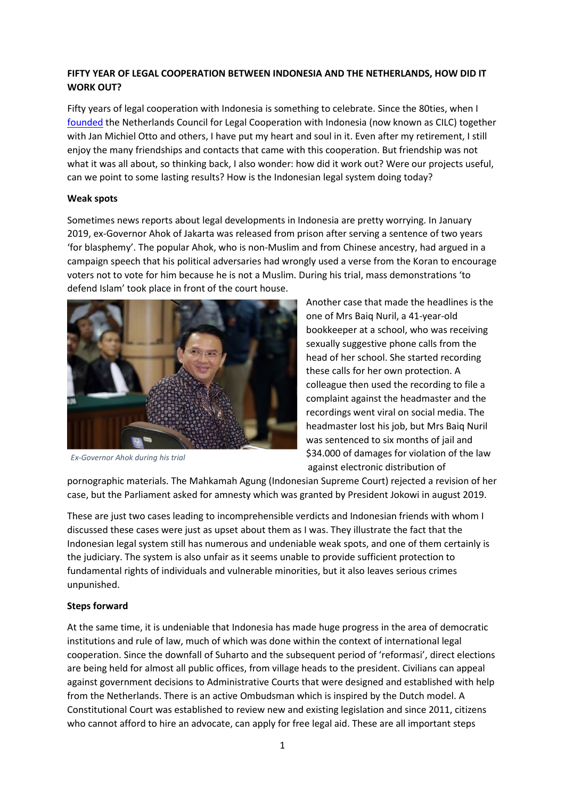# **FIFTY YEAR OF LEGAL COOPERATION BETWEEN INDONESIA AND THE NETHERLANDS, HOW DID IT WORK OUT?**

Fifty years of legal cooperation with Indonesia is something to celebrate. Since the 80ties, when I [founded](https://www.cilc.nl/inside-cilc-why-and-where-it-all-began-stories-from-the-founding-fathers-i/) the Netherlands Council for Legal Cooperation with Indonesia (now known as CILC) together with Jan Michiel Otto and others, I have put my heart and soul in it. Even after my retirement, I still enjoy the many friendships and contacts that came with this cooperation. But friendship was not what it was all about, so thinking back, I also wonder: how did it work out? Were our projects useful, can we point to some lasting results? How is the Indonesian legal system doing today?

### **Weak spots**

Sometimes news reports about legal developments in Indonesia are pretty worrying. In January 2019, ex-Governor Ahok of Jakarta was released from prison after serving a sentence of two years 'for blasphemy'. The popular Ahok, who is non-Muslim and from Chinese ancestry, had argued in a campaign speech that his political adversaries had wrongly used a verse from the Koran to encourage voters not to vote for him because he is not a Muslim. During his trial, mass demonstrations 'to defend Islam' took place in front of the court house.



*Ex-Governor Ahok during his trial*

Another case that made the headlines is the one of Mrs Baiq Nuril, a 41-year-old bookkeeper at a school, who was receiving sexually suggestive phone calls from the head of her school. She started recording these calls for her own protection. A colleague then used the recording to file a complaint against the headmaster and the recordings went viral on social media. The headmaster lost his job, but Mrs Baiq Nuril was sentenced to six months of jail and \$34.000 of damages for violation of the law against electronic distribution of

pornographic materials. The Mahkamah Agung (Indonesian Supreme Court) rejected a revision of her case, but the Parliament asked for amnesty which was granted by President Jokowi in august 2019.

These are just two cases leading to incomprehensible verdicts and Indonesian friends with whom I discussed these cases were just as upset about them as I was. They illustrate the fact that the Indonesian legal system still has numerous and undeniable weak spots, and one of them certainly is the judiciary. The system is also unfair as it seems unable to provide sufficient protection to fundamental rights of individuals and vulnerable minorities, but it also leaves serious crimes unpunished.

# **Steps forward**

At the same time, it is undeniable that Indonesia has made huge progress in the area of democratic institutions and rule of law, much of which was done within the context of international legal cooperation. Since the downfall of Suharto and the subsequent period of 'reformasi', direct elections are being held for almost all public offices, from village heads to the president. Civilians can appeal against government decisions to Administrative Courts that were designed and established with help from the Netherlands. There is an active Ombudsman which is inspired by the Dutch model. A Constitutional Court was established to review new and existing legislation and since 2011, citizens who cannot afford to hire an advocate, can apply for free legal aid. These are all important steps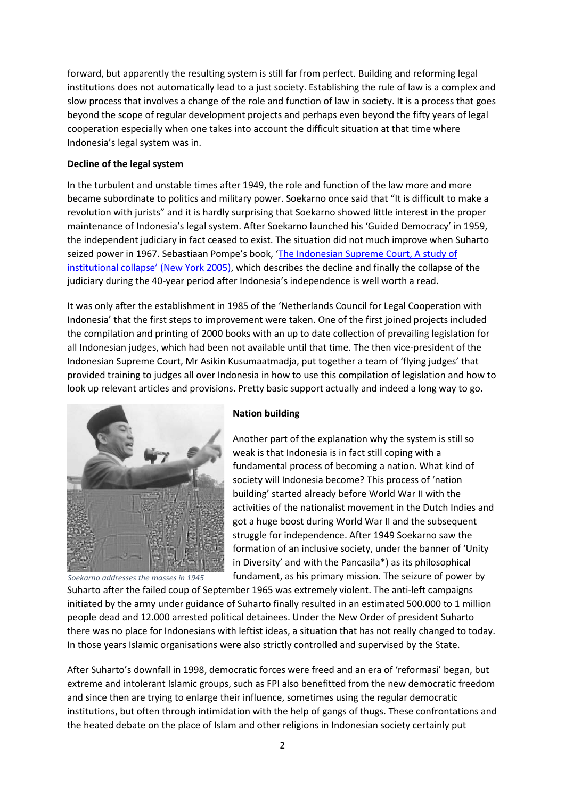forward, but apparently the resulting system is still far from perfect. Building and reforming legal institutions does not automatically lead to a just society. Establishing the rule of law is a complex and slow process that involves a change of the role and function of law in society. It is a process that goes beyond the scope of regular development projects and perhaps even beyond the fifty years of legal cooperation especially when one takes into account the difficult situation at that time where Indonesia's legal system was in.

## **Decline of the legal system**

In the turbulent and unstable times after 1949, the role and function of the law more and more became subordinate to politics and military power. Soekarno once said that "It is difficult to make a revolution with jurists" and it is hardly surprising that Soekarno showed little interest in the proper maintenance of Indonesia's legal system. After Soekarno launched his 'Guided Democracy' in 1959, the independent judiciary in fact ceased to exist. The situation did not much improve when Suharto seized power in 1967. Sebastiaan Pompe's book, ['The Indonesian Supreme Court, A study of](https://www.cornellpress.cornell.edu/book/9780877277385/the-indonesian-supreme-court/)  [institutional collapse'](https://www.cornellpress.cornell.edu/book/9780877277385/the-indonesian-supreme-court/) (New York 2005), which describes the decline and finally the collapse of the judiciary during the 40-year period after Indonesia's independence is well worth a read.

It was only after the establishment in 1985 of the 'Netherlands Council for Legal Cooperation with Indonesia' that the first steps to improvement were taken. One of the first joined projects included the compilation and printing of 2000 books with an up to date collection of prevailing legislation for all Indonesian judges, which had been not available until that time. The then vice-president of the Indonesian Supreme Court, Mr Asikin Kusumaatmadja, put together a team of 'flying judges' that provided training to judges all over Indonesia in how to use this compilation of legislation and how to look up relevant articles and provisions. Pretty basic support actually and indeed a long way to go.



*Soekarno addresses the masses in 1945*

### **Nation building**

Another part of the explanation why the system is still so weak is that Indonesia is in fact still coping with a fundamental process of becoming a nation. What kind of society will Indonesia become? This process of 'nation building' started already before World War II with the activities of the nationalist movement in the Dutch Indies and got a huge boost during World War II and the subsequent struggle for independence. After 1949 Soekarno saw the formation of an inclusive society, under the banner of 'Unity in Diversity' and with the Pancasila\*) as its philosophical fundament, as his primary mission. The seizure of power by

Suharto after the failed coup of September 1965 was extremely violent. The anti-left campaigns initiated by the army under guidance of Suharto finally resulted in an estimated 500.000 to 1 million people dead and 12.000 arrested political detainees. Under the New Order of president Suharto there was no place for Indonesians with leftist ideas, a situation that has not really changed to today. In those years Islamic organisations were also strictly controlled and supervised by the State.

After Suharto's downfall in 1998, democratic forces were freed and an era of 'reformasi' began, but extreme and intolerant Islamic groups, such as FPI also benefitted from the new democratic freedom and since then are trying to enlarge their influence, sometimes using the regular democratic institutions, but often through intimidation with the help of gangs of thugs. These confrontations and the heated debate on the place of Islam and other religions in Indonesian society certainly put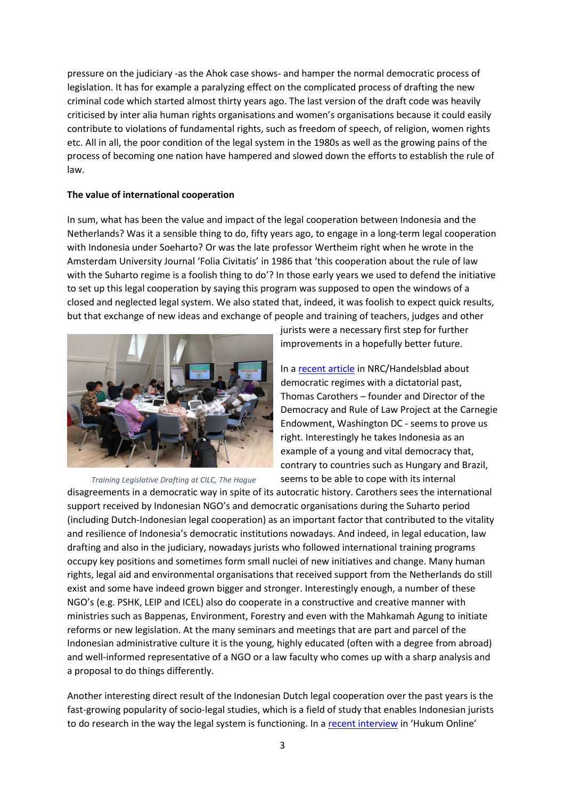pressure on the judiciary -as the Ahok case shows- and hamper the normal democratic process of legislation. It has for example a paralyzing effect on the complicated process of drafting the new criminal code which started almost thirty years ago. The last version of the draft code was heavily criticised by inter alia human rights organisations and women's organisations because it could easily contribute to violations of fundamental rights, such as freedom of speech, of religion, women rights etc. All in all, the poor condition of the legal system in the 1980s as well as the growing pains of the process of becoming one nation have hampered and slowed down the efforts to establish the rule of law.

### **The value of international cooperation**

In sum, what has been the value and impact of the legal cooperation between Indonesia and the Netherlands? Was it a sensible thing to do, fifty years ago, to engage in a long-term legal cooperation with Indonesia under Soeharto? Or was the late professor Wertheim right when he wrote in the Amsterdam University Journal 'Folia Civitatis' in 1986 that 'this cooperation about the rule of law with the Suharto regime is a foolish thing to do'? In those early years we used to defend the initiative to set up this legal cooperation by saying this program was supposed to open the windows of a closed and neglected legal system. We also stated that, indeed, it was foolish to expect quick results, but that exchange of new ideas and exchange of people and training of teachers, judges and other



*Training Legislative Drafting at CILC, The Hague*

jurists were a necessary first step for further improvements in a hopefully better future.

In a [recent](https://www.nrc.nl/nieuws/2019/11/13/veel-autoritaire-staten-zijn-intern-juist-zwak-a3980109) article in NRC/Handelsblad about democratic regimes with a dictatorial past, Thomas Carothers – founder and Director of the Democracy and Rule of Law Project at the Carnegie Endowment, Washington DC - seems to prove us right. Interestingly he takes Indonesia as an example of a young and vital democracy that, contrary to countries such as Hungary and Brazil, seems to be able to cope with its internal

disagreements in a democratic way in spite of its autocratic history. Carothers sees the international support received by Indonesian NGO's and democratic organisations during the Suharto period (including Dutch-Indonesian legal cooperation) as an important factor that contributed to the vitality and resilience of Indonesia's democratic institutions nowadays. And indeed, in legal education, law drafting and also in the judiciary, nowadays jurists who followed international training programs occupy key positions and sometimes form small nuclei of new initiatives and change. Many human rights, legal aid and environmental organisations that received support from the Netherlands do still exist and some have indeed grown bigger and stronger. Interestingly enough, a number of these NGO's (e.g. PSHK, LEIP and ICEL) also do cooperate in a constructive and creative manner with ministries such as Bappenas, Environment, Forestry and even with the Mahkamah Agung to initiate reforms or new legislation. At the many seminars and meetings that are part and parcel of the Indonesian administrative culture it is the young, highly educated (often with a degree from abroad) and well-informed representative of a NGO or a law faculty who comes up with a sharp analysis and a proposal to do things differently.

Another interesting direct result of the Indonesian Dutch legal cooperation over the past years is the fast-growing popularity of socio-legal studies, which is a field of study that enables Indonesian jurists to do research in the way the legal system is functioning. In a [recent interview](https://www.hukumonline.com/berita/baca/lt5dc515df9c813/kala-profesor-hukum-belanda-klarifikasi-warisan-hukum-belanda-di-indonesia) in 'Hukum Online'